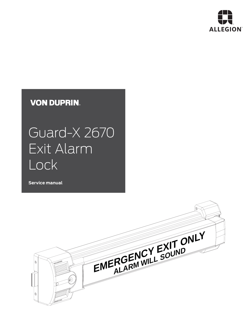

## **VON DUPRIN.**

# Guard-X 2670 Exit Alarm Lock

**Service manual**

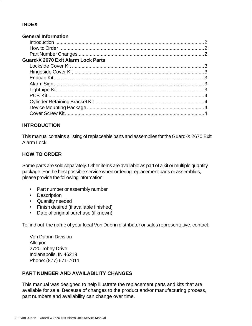#### **INDEX**

| <b>General Information</b>                |  |
|-------------------------------------------|--|
|                                           |  |
|                                           |  |
|                                           |  |
| <b>Guard-X 2670 Exit Alarm Lock Parts</b> |  |
|                                           |  |
|                                           |  |
|                                           |  |
|                                           |  |
|                                           |  |
|                                           |  |
|                                           |  |
|                                           |  |
|                                           |  |

#### **INTRODUCTION**

This manual contains a listing of replaceable parts and assemblies for the Guard-X 2670 Exit Alarm Lock.

#### **HOW TO ORDER**

Some parts are sold separately. Other items are available as part of a kit or multiple quantity package. For the best possible service when ordering replacement parts or assemblies, please provide the following information:

- Part number or assembly number
- Description
- Quantity needed
- Finish desired (if available finished)
- Date of original purchase (if known)

To find out the name of your local Von Duprin distributor or sales representative, contact:

Von Duprin Division Allegion 2720 Tobey Drive Indianapolis, IN 46219 Phone: (877) 671-7011

#### **PART NUMBER AND AVAILABILITY CHANGES**

This manual was designed to help illustrate the replacement parts and kits that are available for sale. Because of changes to the product and/or manufacturing process, part numbers and availability can change over time.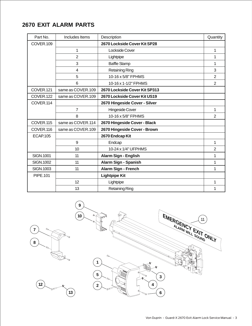### **2670 EXIT ALARM PARTS**

| Part No.         | Includes Items    | Description                   | Quantity       |
|------------------|-------------------|-------------------------------|----------------|
| COVER.109        |                   | 2670 Lockside Cover Kit SP28  |                |
|                  | 1                 | Lockside Cover                | 1              |
|                  | $\overline{2}$    | Lightpipe                     | 1              |
|                  | 3                 | <b>Baffle Stamp</b>           | 1              |
|                  | 4                 | <b>Retaining Ring</b>         | 3              |
|                  | 5                 | 10-16 x 5/8" FPHMS            | $\overline{2}$ |
|                  | 6                 | 10-16 x 1-1/2" FPHMS          | $\overline{2}$ |
| COVER.121        | same as COVER.109 | 2670 Lockside Cover Kit SP313 |                |
| COVER.122        | same as COVER.109 | 2670 Lockside Cover Kit US19  |                |
| COVER.114        |                   | 2670 Hingeside Cover - Silver |                |
|                  | $\overline{7}$    | Hingeside Cover               | $\mathbf{1}$   |
|                  | 8                 | 10-16 x 5/8" FPHMS            | $\overline{2}$ |
| COVER.115        | same as COVER.114 | 2670 Hingeside Cover - Black  |                |
| COVER.116        | same as COVER.109 | 2670 Hingeside Cover - Brown  |                |
| <b>ECAP.105</b>  |                   | 2670 Endcap Kit               |                |
|                  | 9                 | Endcap                        | 1              |
|                  | 10                | 10-24 x 1/4" UFPHMS           | $\overline{2}$ |
| <b>SIGN.1001</b> | 11                | Alarm Sign - English          | 1              |
| <b>SIGN.1002</b> | 11                | Alarm Sign - Spanish          | 1              |
| SIGN.1003        | 11                | Alarm Sign - French           | 1              |
| <b>PIPE.101</b>  |                   | <b>Lightpipe Kit</b>          |                |
|                  | 12                | Lightpipe                     | 1              |
|                  | 13                | <b>Retaining Ring</b>         | 1              |

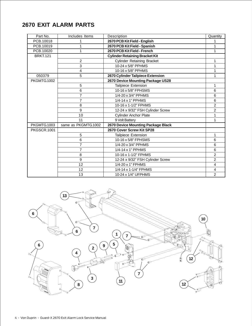## **2670 EXIT ALARM PARTS**

| Part No.           | Includes Items      | Description                           | Quantity       |
|--------------------|---------------------|---------------------------------------|----------------|
| PCB.10018          | 1                   | 2670 PCB Kit Field - English          |                |
| PCB.10019          | 1                   | 2670 PCB Kit Field - Spanish          | 1              |
| PCB.10020          | 1                   | 2670 PCB Kit Field - French           | 1              |
| <b>BRKT.121</b>    |                     | <b>Cylinder Retaining Bracket Kit</b> |                |
|                    | 2                   | <b>Cylinder Retaining Bracket</b>     |                |
|                    | 3                   | 10-24 x 5/8" PPHMS                    |                |
|                    | 4                   | 10-16 x 5/8" PPHMS                    |                |
| 050379             | 5                   | 2670 Cylinder Tailpiece Extension     |                |
| <b>PKGMTG.1002</b> |                     | 2670 Device Mounting Package US28     |                |
|                    | 5                   | Tailpiece Extension                   | 1              |
|                    | 6                   | 10-16 x 5/8" FPHSMS                   | 6              |
|                    | $\overline{7}$      | 1/4-20 x 3/4" PPHMS                   | 6              |
|                    | $\overline{7}$      | 1/4-14 x 1" PPHMS                     | 6              |
|                    | 8                   | 10-16 x 1-1/2" FPHMS                  | $\overline{2}$ |
|                    | 9                   | 12-24 x 9/32" FSH Cylinder Screw      | $\overline{2}$ |
|                    | 10                  | <b>Cylinder Anchor Plate</b>          | 1              |
|                    | 11                  | 9 Volt Battery                        |                |
| <b>PKGMTG.1003</b> | same as PKGMTG.1002 | 2670 Device Mounting Package Black    |                |
| PKGSCR.1001        |                     | 2670 Cover Screw Kit SP28             |                |
|                    | 5                   | Tailpiece Extension                   | 1              |
|                    | 6                   | 10-16 x 5/8" FPHSMS                   | 6              |
|                    | $\overline{7}$      | 1/4-20 x 3/4" PPHMS                   | 6              |
|                    | 7                   | $1/4 - 14 \times 1$ " PPHMS           | 6              |
|                    | 8                   | 10-16 x 1-1/2" FPHMS                  | 2              |
|                    | 9                   | 12-24 x 9/32" FSH Cylinder Screw      | $\overline{2}$ |
|                    | 12                  | 1/4-20 x 1" FPHMS                     | 4              |
|                    | 12                  | 1/4-14 x 1-1/4" FPHMS                 | 4              |
|                    | 13                  | 10-24 x 1/4" UFPHMS                   | $\overline{2}$ |